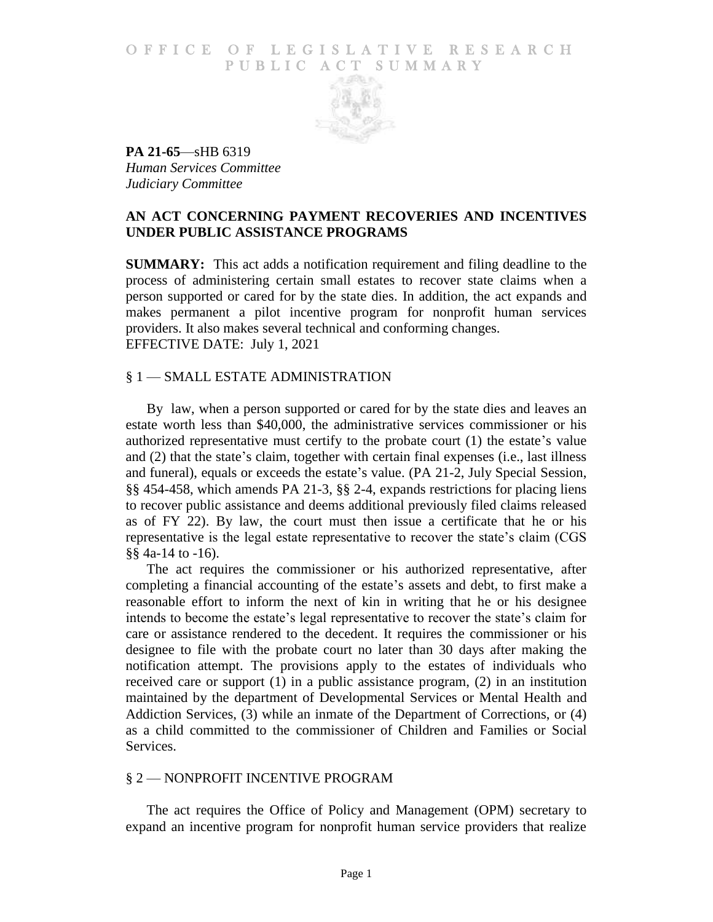## O F FICE OF LEGISLATIVE RESEARCH PUBLIC ACT SUMMARY



**PA 21-65**—sHB 6319 *Human Services Committee Judiciary Committee*

## **AN ACT CONCERNING PAYMENT RECOVERIES AND INCENTIVES UNDER PUBLIC ASSISTANCE PROGRAMS**

**SUMMARY:** This act adds a notification requirement and filing deadline to the process of administering certain small estates to recover state claims when a person supported or cared for by the state dies. In addition, the act expands and makes permanent a pilot incentive program for nonprofit human services providers. It also makes several technical and conforming changes. EFFECTIVE DATE: July 1, 2021

## § 1 — SMALL ESTATE ADMINISTRATION

By law, when a person supported or cared for by the state dies and leaves an estate worth less than \$40,000, the administrative services commissioner or his authorized representative must certify to the probate court (1) the estate's value and (2) that the state's claim, together with certain final expenses (i.e., last illness and funeral), equals or exceeds the estate's value. (PA 21-2, July Special Session, §§ 454-458, which amends PA 21-3, §§ 2-4, expands restrictions for placing liens to recover public assistance and deems additional previously filed claims released as of FY 22). By law, the court must then issue a certificate that he or his representative is the legal estate representative to recover the state's claim (CGS §§ 4a-14 to -16).

The act requires the commissioner or his authorized representative, after completing a financial accounting of the estate's assets and debt, to first make a reasonable effort to inform the next of kin in writing that he or his designee intends to become the estate's legal representative to recover the state's claim for care or assistance rendered to the decedent. It requires the commissioner or his designee to file with the probate court no later than 30 days after making the notification attempt. The provisions apply to the estates of individuals who received care or support (1) in a public assistance program, (2) in an institution maintained by the department of Developmental Services or Mental Health and Addiction Services, (3) while an inmate of the Department of Corrections, or (4) as a child committed to the commissioner of Children and Families or Social Services.

## § 2 — NONPROFIT INCENTIVE PROGRAM

The act requires the Office of Policy and Management (OPM) secretary to expand an incentive program for nonprofit human service providers that realize